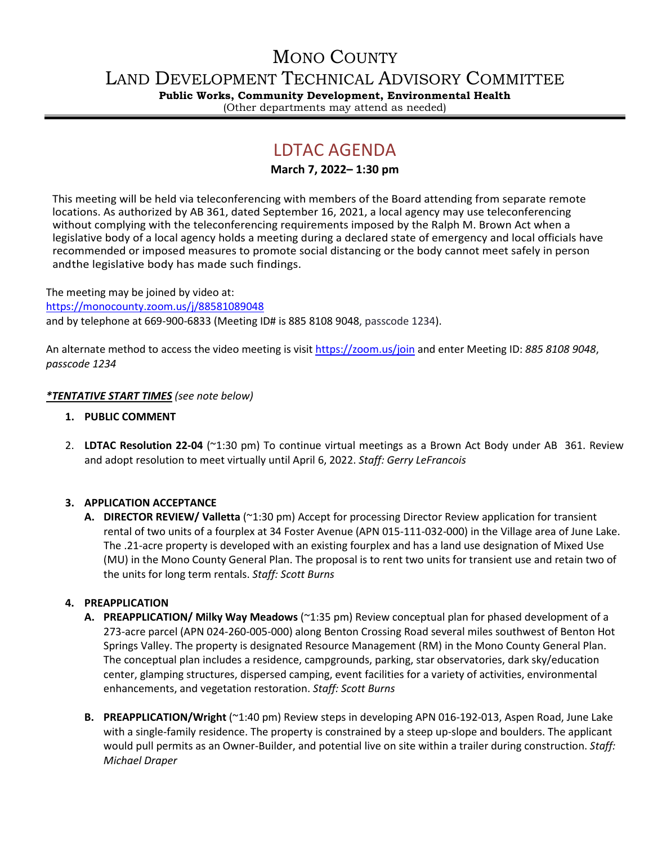# MONO COUNTY

LAND DEVELOPMENT TECHNICAL ADVISORY COMMITTEE

**Public Works, Community Development, Environmental Health**

(Other departments may attend as needed)

## LDTAC AGENDA

## **March 7, 2022– 1:30 pm**

This meeting will be held via teleconferencing with members of the Board attending from separate remote locations. As authorized by AB 361, dated September 16, 2021, a local agency may use teleconferencing without complying with the teleconferencing requirements imposed by the Ralph M. Brown Act when a legislative body of a local agency holds a meeting during a declared state of emergency and local officials have recommended or imposed measures to promote social distancing or the body cannot meet safely in person andthe legislative body has made such findings.

The meeting may be joined by video at: <https://monocounty.zoom.us/j/88581089048> and by telephone at 669-900-6833 (Meeting ID# is 885 8108 9048, passcode 1234).

An alternate method to access the video meeting is visit <https://zoom.us/join> and enter Meeting ID: *885 8108 9048*, *passcode 1234*

### *\*TENTATIVE START TIMES (see note below)*

- **1. PUBLIC COMMENT**
- 2. **LDTAC Resolution 22-04** (~1:30 pm) To continue virtual meetings as a Brown Act Body under AB 361. Review and adopt resolution to meet virtually until April 6, 2022. *Staff: Gerry LeFrancois*

## **3. APPLICATION ACCEPTANCE**

**A. DIRECTOR REVIEW/ Valletta** (~1:30 pm) Accept for processing Director Review application for transient rental of two units of a fourplex at 34 Foster Avenue (APN 015-111-032-000) in the Village area of June Lake. The .21-acre property is developed with an existing fourplex and has a land use designation of Mixed Use (MU) in the Mono County General Plan. The proposal is to rent two units for transient use and retain two of the units for long term rentals. *Staff: Scott Burns*

#### **4. PREAPPLICATION**

- **A. PREAPPLICATION/ Milky Way Meadows** (~1:35 pm) Review conceptual plan for phased development of a 273-acre parcel (APN 024-260-005-000) along Benton Crossing Road several miles southwest of Benton Hot Springs Valley. The property is designated Resource Management (RM) in the Mono County General Plan. The conceptual plan includes a residence, campgrounds, parking, star observatories, dark sky/education center, glamping structures, dispersed camping, event facilities for a variety of activities, environmental enhancements, and vegetation restoration. *Staff: Scott Burns*
- **B. PREAPPLICATION/Wright** (~1:40 pm) Review steps in developing APN 016-192-013, Aspen Road, June Lake with a single-family residence. The property is constrained by a steep up-slope and boulders. The applicant would pull permits as an Owner-Builder, and potential live on site within a trailer during construction. *Staff: Michael Draper*